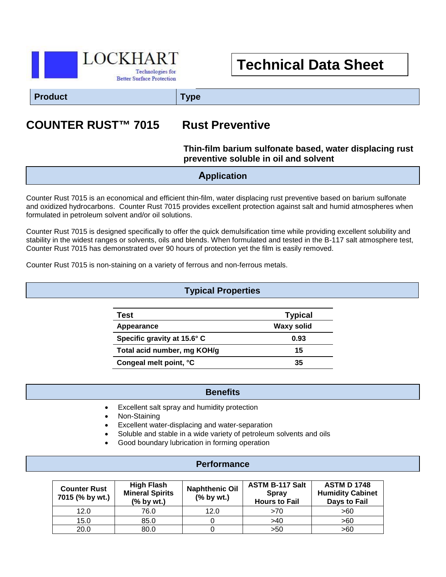

# **Technical Data Sheet**

**Product Type**

# **COUNTER RUST™ 7015 Rust Preventive**

### **Thin-film barium sulfonate based, water displacing rust preventive soluble in oil and solvent**

### **Application**

Counter Rust 7015 is an economical and efficient thin-film, water displacing rust preventive based on barium sulfonate and oxidized hydrocarbons. Counter Rust 7015 provides excellent protection against salt and humid atmospheres when formulated in petroleum solvent and/or oil solutions.

Counter Rust 7015 is designed specifically to offer the quick demulsification time while providing excellent solubility and stability in the widest ranges or solvents, oils and blends. When formulated and tested in the B-117 salt atmosphere test, Counter Rust 7015 has demonstrated over 90 hours of protection yet the film is easily removed.

Counter Rust 7015 is non-staining on a variety of ferrous and non-ferrous metals.

#### **Typical Properties**

| Test                        | <b>Typical</b> |
|-----------------------------|----------------|
| Appearance                  | Waxy solid     |
| Specific gravity at 15.6° C | 0.93           |
| Total acid number, mg KOH/g | 15             |
| Congeal melt point, °C      | 35             |

#### **Benefits**

- $\overline{a}$ • Excellent salt spray and humidity protection
- Non-Staining
- Excellent water-displacing and water-separation
- Soluble and stable in a wide variety of petroleum solvents and oils
- Good boundary lubrication in forming operation

#### **Performance**

| <b>Counter Rust</b><br>7015 (% by wt.) | <b>High Flash</b><br><b>Mineral Spirits</b><br>$%$ by wt.) | <b>Naphthenic Oil</b><br>$(%$ by wt.) | <b>ASTM B-117 Salt</b><br><b>Spray</b><br><b>Hours to Fail</b> | <b>ASTM D 1748</b><br><b>Humidity Cabinet</b><br>Days to Fail |
|----------------------------------------|------------------------------------------------------------|---------------------------------------|----------------------------------------------------------------|---------------------------------------------------------------|
| 12.0                                   | 76.0                                                       | 12.0                                  | >70                                                            | >60                                                           |
| 15.0                                   | 85.0                                                       |                                       | >40                                                            | >60                                                           |
| 20.0                                   | 80.0                                                       |                                       | >50                                                            | >60                                                           |